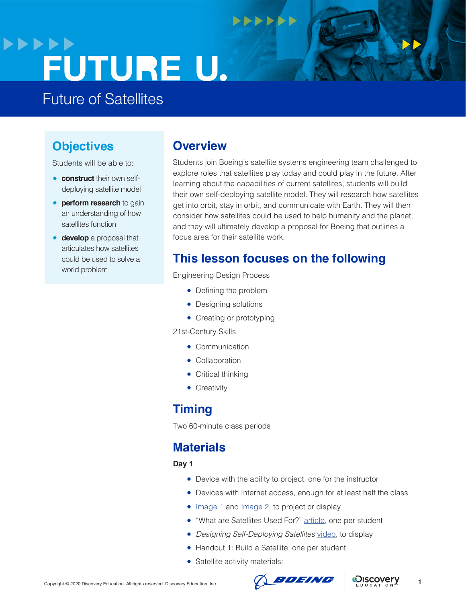## **>>>>>>** FUTURE U.

Future of Satellites

## **Objectives**

Students will be able to:

- **construct** their own selfdeploying satellite model
- **perform research** to gain an understanding of how satellites function
- **develop** a proposal that articulates how satellites could be used to solve a world problem

### **Overview**

Students join Boeing's satellite systems engineering team challenged to explore roles that satellites play today and could play in the future. After learning about the capabilities of current satellites, students will build their own self-deploying satellite model. They will research how satellites get into orbit, stay in orbit, and communicate with Earth. They will then consider how satellites could be used to help humanity and the planet, and they will ultimately develop a proposal for Boeing that outlines a focus area for their satellite work.

## **This lesson focuses on the following**

 $\bullet\bullet\bullet\bullet\bullet\bullet$ 

Engineering Design Process

- Defining the problem
- Designing solutions
- Creating or prototyping

21st-Century Skills

- Communication
- Collaboration
- Critical thinking
- **•** Creativity

### **Timing**

Two 60-minute class periods

### **Materials**

**Day 1**

- Device with the ability to project, one for the instructor
- Devices with Internet access, enough for at least half the class
- [Image 1](https://www.nasa.gov/images/content/723586main1_GOES-20130130-1825UTC-673.jpg) and [Image 2](https://www.nasa.gov/sites/default/files/styles/ubernode_alt_horiz/public/thumbnails/image/blackmarble2016-1500px_0.jpg), to project or display
- "What are Satellites Used For?" [article,](https://www.ucsusa.org/resources/what-are-satellites-used) one per student
- *Designing Self-Deploying Satellites* [video](https://www.youtube.com/watch?v=kKhaPjCWOMI), to display
- Handout 1: Build a Satellite, one per student
- Satellite activity materials:



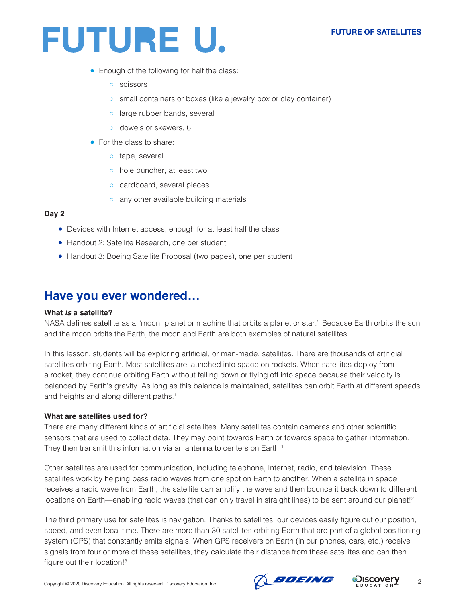#### **FUTURE OF SATELLITES**

## FUTURE U.

- Enough of the following for half the class:
	- scissors
	- small containers or boxes (like a jewelry box or clay container)
	- o large rubber bands, several
	- dowels or skewers, 6
- For the class to share:
	- tape, several
	- hole puncher, at least two
	- cardboard, several pieces
	- any other available building materials

#### **Day 2**

- Devices with Internet access, enough for at least half the class
- Handout 2: Satellite Research, one per student
- Handout 3: Boeing Satellite Proposal (two pages), one per student

### **Have you ever wondered…**

#### **What** *is* **a satellite?**

NASA defines satellite as a "moon, planet or machine that orbits a planet or star." Because Earth orbits the sun and the moon orbits the Earth, the moon and Earth are both examples of natural satellites.

In this lesson, students will be exploring artificial, or man-made, satellites. There are thousands of artificial satellites orbiting Earth. Most satellites are launched into space on rockets. When satellites deploy from a rocket, they continue orbiting Earth without falling down or flying off into space because their velocity is balanced by Earth's gravity. As long as this balance is maintained, satellites can orbit Earth at different speeds and heights and along different paths.<sup>1</sup>

#### **What are satellites used for?**

There are many different kinds of artificial satellites. Many satellites contain cameras and other scientific sensors that are used to collect data. They may point towards Earth or towards space to gather information. They then transmit this information via an antenna to centers on Earth.<sup>1</sup>

Other satellites are used for communication, including telephone, Internet, radio, and television. These satellites work by helping pass radio waves from one spot on Earth to another. When a satellite in space receives a radio wave from Earth, the satellite can amplify the wave and then bounce it back down to different locations on Earth—enabling radio waves (that can only travel in straight lines) to be sent around our planet!<sup>2</sup>

The third primary use for satellites is navigation. Thanks to satellites, our devices easily figure out our position, speed, and even local time. There are more than 30 satellites orbiting Earth that are part of a global positioning system (GPS) that constantly emits signals. When GPS receivers on Earth (in our phones, cars, etc.) receive signals from four or more of these satellites, they calculate their distance from these satellites and can then figure out their location!3



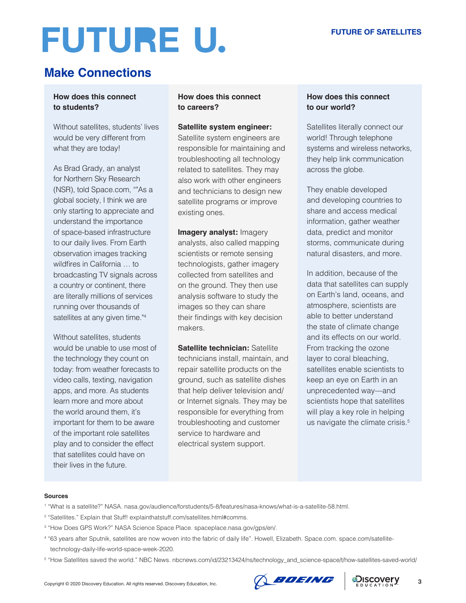## **Make Connections**

### **How does this connect to students?**

Without satellites, students' lives would be very different from what they are today!

As Brad Grady, an analyst for Northern Sky Research (NSR), told Space.com, ""As a global society, I think we are only starting to appreciate and understand the importance of space-based infrastructure to our daily lives. From Earth observation images tracking wildfires in California … to broadcasting TV signals across a country or continent, there are literally millions of services running over thousands of satellites at any given time."4

Without satellites, students would be unable to use most of the technology they count on today: from weather forecasts to video calls, texting, navigation apps, and more. As students learn more and more about the world around them, it's important for them to be aware of the important role satellites play and to consider the effect that satellites could have on their lives in the future.

#### **How does this connect to careers?**

#### **Satellite system engineer:**

Satellite system engineers are responsible for maintaining and troubleshooting all technology related to satellites. They may also work with other engineers and technicians to design new satellite programs or improve existing ones.

**Imagery analyst:** Imagery analysts, also called mapping scientists or remote sensing technologists, gather imagery collected from satellites and on the ground. They then use analysis software to study the images so they can share their findings with key decision makers.

**Satellite technician: Satellite** technicians install, maintain, and repair satellite products on the ground, such as satellite dishes that help deliver television and/ or Internet signals. They may be responsible for everything from troubleshooting and customer service to hardware and electrical system support.

#### **How does this connect to our world?**

Satellites literally connect our world! Through telephone systems and wireless networks, they help link communication across the globe.

They enable developed and developing countries to share and access medical information, gather weather data, predict and monitor storms, communicate during natural disasters, and more.

In addition, because of the data that satellites can supply on Earth's land, oceans, and atmosphere, scientists are able to better understand the state of climate change and its effects on our world. From tracking the ozone layer to coral bleaching, satellites enable scientists to keep an eye on Earth in an unprecedented way—and scientists hope that satellites will play a key role in helping us navigate the climate crisis.<sup>5</sup>

#### **Sources**

- 1 "What is a satellite?" NASA. nasa.gov/audience/forstudents/5-8/features/nasa-knows/what-is-a-satellite-58.html.
- 2 "Satellites." Explain that Stuff! explainthatstuff.com/satellites.html#comms.
- 3 "How Does GPS Work?" NASA Science Space Place. spaceplace.nasa.gov/gps/en/.
- 4 "63 years after Sputnik, satellites are now woven into the fabric of daily life". Howell, Elizabeth. Space.com. space.com/satellitetechnology-daily-life-world-space-week-2020.
- 5 "How Satellites saved the world." NBC News. nbcnews.com/id/23213424/ns/technology\_and\_science-space/t/how-satellites-saved-world/



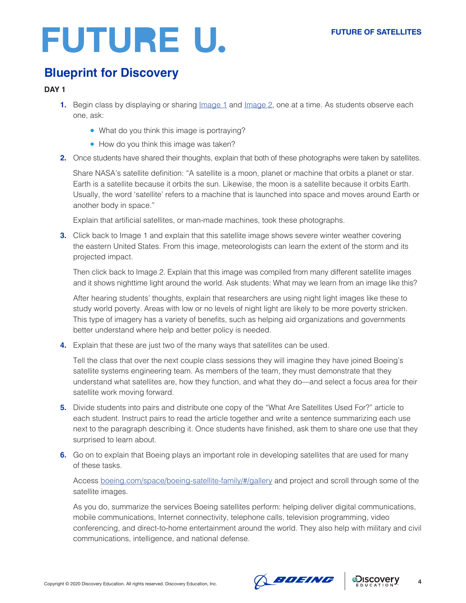## **Blueprint for Discovery**

### **DAY 1**

- **1.** Begin class by displaying or sharing *Image* 1 and *Image* 2, one at a time. As students observe each one, ask:
	- What do you think this image is portraying?
	- How do you think this image was taken?
- **2.** Once students have shared their thoughts, explain that both of these photographs were taken by satellites.

Share NASA's satellite definition: "A satellite is a moon, planet or machine that orbits a planet or star. Earth is a satellite because it orbits the sun. Likewise, the moon is a satellite because it orbits Earth. Usually, the word 'satellite' refers to a machine that is launched into space and moves around Earth or another body in space."

Explain that artificial satellites, or man-made machines, took these photographs.

**3.** Click back to Image 1 and explain that this satellite image shows severe winter weather covering the eastern United States. From this image, meteorologists can learn the extent of the storm and its projected impact.

Then click back to Image 2. Explain that this image was compiled from many different satellite images and it shows nighttime light around the world. Ask students: What may we learn from an image like this?

After hearing students' thoughts, explain that researchers are using night light images like these to study world poverty. Areas with low or no levels of night light are likely to be more poverty stricken. This type of imagery has a variety of benefits, such as helping aid organizations and governments better understand where help and better policy is needed.

**4.** Explain that these are just two of the many ways that satellites can be used.

Tell the class that over the next couple class sessions they will imagine they have joined Boeing's satellite systems engineering team. As members of the team, they must demonstrate that they understand what satellites are, how they function, and what they do—and select a focus area for their satellite work moving forward.

- **5.** Divide students into pairs and distribute one copy of the "What Are Satellites Used For?" article to each student. Instruct pairs to read the article together and write a sentence summarizing each use next to the paragraph describing it. Once students have finished, ask them to share one use that they surprised to learn about.
- **6.** Go on to explain that Boeing plays an important role in developing satellites that are used for many of these tasks.

Access [boeing.com/space/boeing-satellite-family/#/gallery](http://boeing.com/space/boeing-satellite-family/#/gallery) and project and scroll through some of the satellite images.

As you do, summarize the services Boeing satellites perform: helping deliver digital communications, mobile communications, Internet connectivity, telephone calls, television programming, video conferencing, and direct-to-home entertainment around the world. They also help with military and civil communications, intelligence, and national defense.



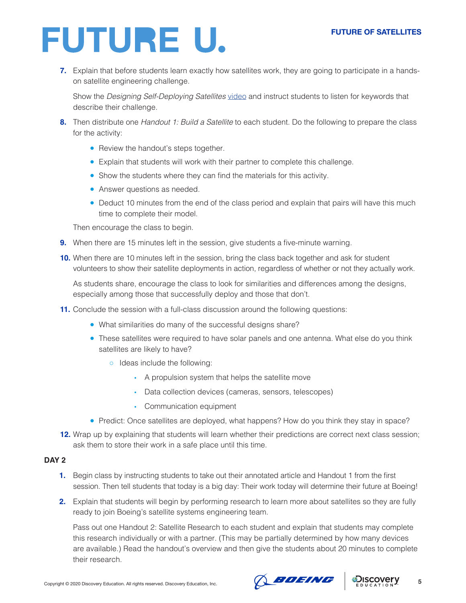**7.** Explain that before students learn exactly how satellites work, they are going to participate in a handson satellite engineering challenge.

Show the *Designing Self-Deploying Satellites* [video](https://www.youtube.com/watch?v=kKhaPjCWOMI) and instruct students to listen for keywords that describe their challenge.

- **8.** Then distribute one *Handout 1: Build a Satellite* to each student. Do the following to prepare the class for the activity:
	- Review the handout's steps together.
	- Explain that students will work with their partner to complete this challenge.
	- Show the students where they can find the materials for this activity.
	- Answer questions as needed.
	- Deduct 10 minutes from the end of the class period and explain that pairs will have this much time to complete their model.

Then encourage the class to begin.

- **9.** When there are 15 minutes left in the session, give students a five-minute warning.
- **10.** When there are 10 minutes left in the session, bring the class back together and ask for student volunteers to show their satellite deployments in action, regardless of whether or not they actually work.

As students share, encourage the class to look for similarities and differences among the designs, especially among those that successfully deploy and those that don't.

- **11.** Conclude the session with a full-class discussion around the following questions:
	- What similarities do many of the successful designs share?
	- These satellites were required to have solar panels and one antenna. What else do you think satellites are likely to have?
		- Ideas include the following:
			- A propulsion system that helps the satellite move
			- Data collection devices (cameras, sensors, telescopes)
			- Communication equipment
	- Predict: Once satellites are deployed, what happens? How do you think they stay in space?
- **12.** Wrap up by explaining that students will learn whether their predictions are correct next class session; ask them to store their work in a safe place until this time.

#### **DAY 2**

- **1.** Begin class by instructing students to take out their annotated article and Handout 1 from the first session. Then tell students that today is a big day: Their work today will determine their future at Boeing!
- **2.** Explain that students will begin by performing research to learn more about satellites so they are fully ready to join Boeing's satellite systems engineering team.

Pass out one Handout 2: Satellite Research to each student and explain that students may complete this research individually or with a partner. (This may be partially determined by how many devices are available.) Read the handout's overview and then give the students about 20 minutes to complete their research.



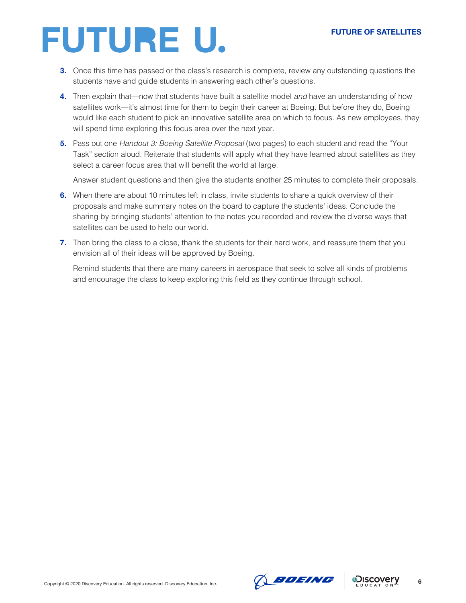- **3.** Once this time has passed or the class's research is complete, review any outstanding questions the students have and guide students in answering each other's questions.
- **4.** Then explain that—now that students have built a satellite model *and* have an understanding of how satellites work—it's almost time for them to begin their career at Boeing. But before they do, Boeing would like each student to pick an innovative satellite area on which to focus. As new employees, they will spend time exploring this focus area over the next year.
- **5.** Pass out one *Handout 3: Boeing Satellite Proposal* (two pages) to each student and read the "Your Task" section aloud. Reiterate that students will apply what they have learned about satellites as they select a career focus area that will benefit the world at large.

Answer student questions and then give the students another 25 minutes to complete their proposals.

- **6.** When there are about 10 minutes left in class, invite students to share a quick overview of their proposals and make summary notes on the board to capture the students' ideas. Conclude the sharing by bringing students' attention to the notes you recorded and review the diverse ways that satellites can be used to help our world.
- **7.** Then bring the class to a close, thank the students for their hard work, and reassure them that you envision all of their ideas will be approved by Boeing.

Remind students that there are many careers in aerospace that seek to solve all kinds of problems and encourage the class to keep exploring this field as they continue through school.



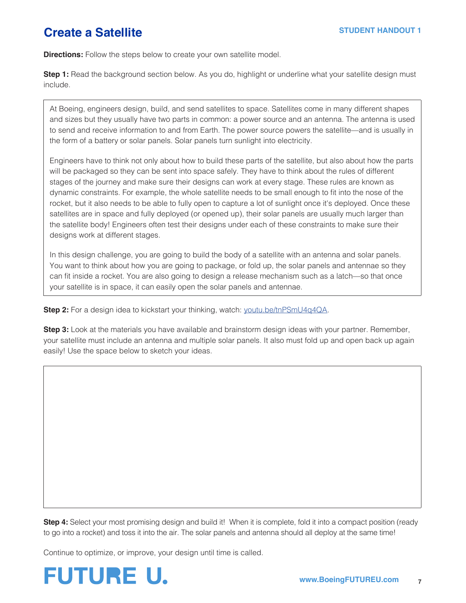## **Create a Satellite**

**Directions:** Follow the steps below to create your own satellite model.

**Step 1:** Read the background section below. As you do, highlight or underline what your satellite design must include.

At Boeing, engineers design, build, and send satellites to space. Satellites come in many different shapes and sizes but they usually have two parts in common: a power source and an antenna. The antenna is used to send and receive information to and from Earth. The power source powers the satellite—and is usually in the form of a battery or solar panels. Solar panels turn sunlight into electricity.

Engineers have to think not only about how to build these parts of the satellite, but also about how the parts will be packaged so they can be sent into space safely. They have to think about the rules of different stages of the journey and make sure their designs can work at every stage. These rules are known as dynamic constraints. For example, the whole satellite needs to be small enough to fit into the nose of the rocket, but it also needs to be able to fully open to capture a lot of sunlight once it's deployed. Once these satellites are in space and fully deployed (or opened up), their solar panels are usually much larger than the satellite body! Engineers often test their designs under each of these constraints to make sure their designs work at different stages.

In this design challenge, you are going to build the body of a satellite with an antenna and solar panels. You want to think about how you are going to package, or fold up, the solar panels and antennae so they can fit inside a rocket. You are also going to design a release mechanism such as a latch—so that once your satellite is in space, it can easily open the solar panels and antennae.

**Step 2:** For a design idea to kickstart your thinking, watch: [youtu.be/tnPSmU4q4QA](http://youtu.be/tnPSmU4q4QA).

**Step 3:** Look at the materials you have available and brainstorm design ideas with your partner. Remember, your satellite must include an antenna and multiple solar panels. It also must fold up and open back up again easily! Use the space below to sketch your ideas.

**Step 4:** Select your most promising design and build it! When it is complete, fold it into a compact position (ready to go into a rocket) and toss it into the air. The solar panels and antenna should all deploy at the same time!

Continue to optimize, or improve, your design until time is called.

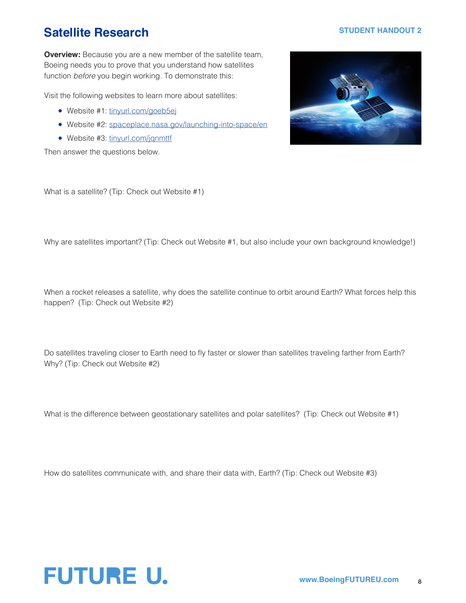## **Satellite Research STUDENT HANDOUT 2**

**Overview:** Because you are a new member of the satellite team, Boeing needs you to prove that you understand how satellites function *before* you begin working. To demonstrate this:

Visit the following websites to learn more about satellites:

- Website #1: [tinyurl.com/goeb5ej](http://tinyurl.com/goeb5ej)
- Website #2: [spaceplace.nasa.gov/launching-into-space/en](http://spaceplace.nasa.gov/launching-into-space/en)
- Website #3: [tinyurl.com/jqnmttf](http://tinyurl.com/jqnmttf)

Then answer the questions below.



What is a satellite? (Tip: Check out Website #1)

Why are satellites important? (Tip: Check out Website #1, but also include your own background knowledge!)

When a rocket releases a satellite, why does the satellite continue to orbit around Earth? What forces help this happen? (Tip: Check out Website #2)

Do satellites traveling closer to Earth need to fly faster or slower than satellites traveling farther from Earth? Why? (Tip: Check out Website #2)

What is the difference between geostationary satellites and polar satellites? (Tip: Check out Website #1)

How do satellites communicate with, and share their data with, Earth? (Tip: Check out Website #3)

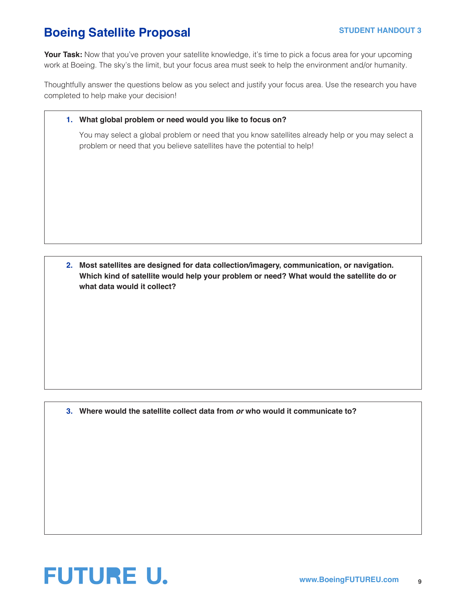## **Boeing Satellite Proposal STUDENT HANDOUT 3**

Your Task: Now that you've proven your satellite knowledge, it's time to pick a focus area for your upcoming work at Boeing. The sky's the limit, but your focus area must seek to help the environment and/or humanity.

Thoughtfully answer the questions below as you select and justify your focus area. Use the research you have completed to help make your decision!

#### **1. What global problem or need would you like to focus on?**

You may select a global problem or need that you know satellites already help or you may select a problem or need that you believe satellites have the potential to help!

**2. Most satellites are designed for data collection/imagery, communication, or navigation. Which kind of satellite would help your problem or need? What would the satellite do or what data would it collect?**

**3. Where would the satellite collect data from** *or* **who would it communicate to?**